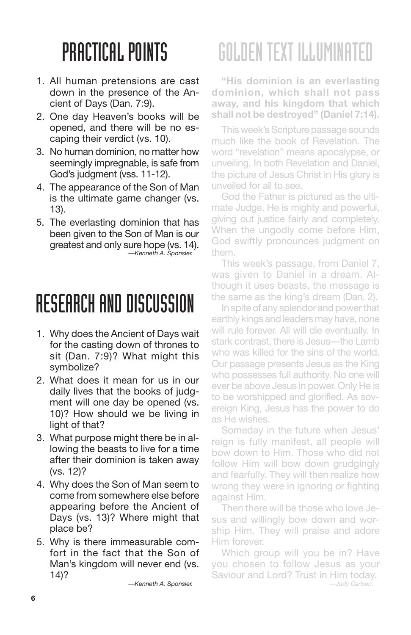- 1. All human pretensions are cast down in the presence of the Ancient of Days (Dan. 7:9).
- 2. One day Heaven's books will be opened, and there will be no escaping their verdict (vs. 10).
- 3. No human dominion, no matter how seemingly impregnable, is safe from God's judgment (vss. 11-12).
- 4. The appearance of the Son of Man is the ultimate game changer (vs. 13).
- 5. The everlasting dominion that has been given to the Son of Man is our greatest and only sure hope (vs. 14). *—Kenneth A. Sponsler.*

#### RESEARCH AND DISCUSSION

- 1. Why does the Ancient of Days wait for the casting down of thrones to sit (Dan. 7:9)? What might this symbolize?
- 2. What does it mean for us in our daily lives that the books of judgment will one day be opened (vs. 10)? How should we be living in light of that?
- 3. What purpose might there be in allowing the beasts to live for a time after their dominion is taken away (vs. 12)?
- 4. Why does the Son of Man seem to come from somewhere else before appearing before the Ancient of Days (vs. 13)? Where might that place be?
- 5. Why is there immeasurable comfort in the fact that the Son of Man's kingdom will never end (vs. 14)?

*—Kenneth A. Sponsler.*

# GOLDENTEXT ILLUMINATED

**"His dominion is an everlasting dominion, which shall not pass away, and his kingdom that which shall not be destroyed" (Daniel 7:14).**

This week's Scripture passage sounds much like the book of Revelation. The word "revelation" means apocalypse, or unveiling. In both Revelation and Daniel, the picture of Jesus Christ in His glory is unveiled for all to see.

God the Father is pictured as the ultimate Judge. He is mighty and powerful, giving out justice fairly and completely. When the ungodly come before Him, God swiftly pronounces judgment on them.

This week's passage, from Daniel 7, was given to Daniel in a dream. Although it uses beasts, the message is the same as the king's dream (Dan. 2).

In spite of any splendor and power that earthly kings and leaders may have, none will rule forever. All will die eventually. In stark contrast, there is Jesus—the Lamb who was killed for the sins of the world. Our passage presents Jesus as the King who possesses full authority. No one will ever be above Jesus in power. Only He is to be worshipped and glorified. As sovereign King, Jesus has the power to do as He wishes.

Someday in the future when Jesus' reign is fully manifest, all people will bow down to Him. Those who did not follow Him will bow down grudgingly and fearfully. They will then realize how wrong they were in ignoring or fighting against Him.

Then there will be those who love Jesus and willingly bow down and worship Him. They will praise and adore Him forever.

Which group will you be in? Have you chosen to follow Jesus as your Saviour and Lord? Trust in Him today.

*—Judy Carlsen.*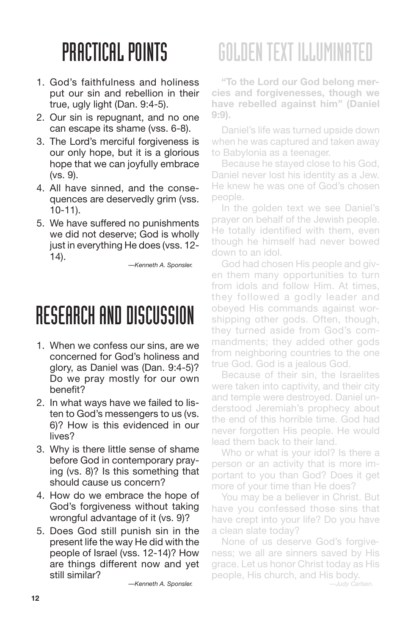- 1. God's faithfulness and holiness put our sin and rebellion in their true, ugly light (Dan. 9:4-5).
- 2. Our sin is repugnant, and no one can escape its shame (vss. 6-8).
- 3. The Lord's merciful forgiveness is our only hope, but it is a glorious hope that we can joyfully embrace (vs. 9).
- 4. All have sinned, and the consequences are deservedly grim (vss. 10-11).
- 5. We have suffered no punishments we did not deserve; God is wholly just in everything He does (vss. 12- 14).

*—Kenneth A. Sponsler.*

### RESEARCH AND DISCUSSION

- 1. When we confess our sins, are we concerned for God's holiness and glory, as Daniel was (Dan. 9:4-5)? Do we pray mostly for our own benefit?
- 2. In what ways have we failed to listen to God's messengers to us (vs. 6)? How is this evidenced in our lives?
- 3. Why is there little sense of shame before God in contemporary praying (vs. 8)? Is this something that should cause us concern?
- 4. How do we embrace the hope of God's forgiveness without taking wrongful advantage of it (vs. 9)?
- 5. Does God still punish sin in the present life the way He did with the people of Israel (vss. 12-14)? How are things different now and yet still similar?

*—Kenneth A. Sponsler.*

# GOLDENTEXT ILLUMINATED

**"To the Lord our God belong mercies and forgivenesses, though we have rebelled against him" (Daniel 9:9).**

Daniel's life was turned upside down when he was captured and taken away to Babylonia as a teenager.

Because he stayed close to his God, Daniel never lost his identity as a Jew. He knew he was one of God's chosen people.

In the golden text we see Daniel's prayer on behalf of the Jewish people. He totally identified with them, even though he himself had never bowed down to an idol.

God had chosen His people and given them many opportunities to turn from idols and follow Him. At times, they followed a godly leader and obeyed His commands against worshipping other gods. Often, though, they turned aside from God's commandments; they added other gods from neighboring countries to the one true God. God is a jealous God.

Because of their sin, the Israelites were taken into captivity, and their city and temple were destroyed. Daniel understood Jeremiah's prophecy about the end of this horrible time. God had never forgotten His people. He would lead them back to their land.

Who or what is your idol? Is there a person or an activity that is more important to you than God? Does it get more of your time than He does?

You may be a believer in Christ. But have you confessed those sins that have crept into your life? Do you have a clean slate today?

None of us deserve God's forgiveness; we all are sinners saved by His grace. Let us honor Christ today as His people, His church, and His body.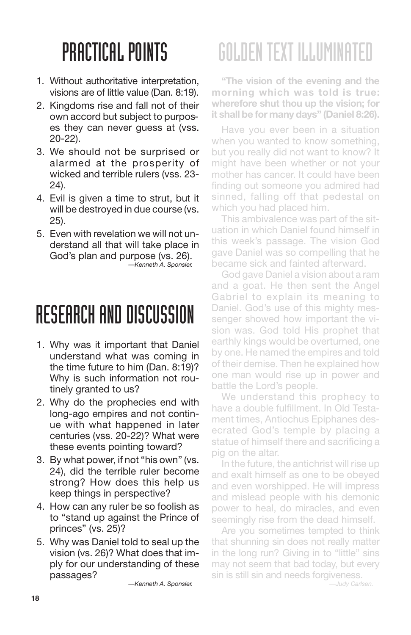- 1. Without authoritative interpretation, visions are of little value (Dan. 8:19).
- 2. Kingdoms rise and fall not of their own accord but subject to purposes they can never guess at (vss. 20-22).
- 3. We should not be surprised or alarmed at the prosperity of wicked and terrible rulers (vss. 23- 24).
- 4. Evil is given a time to strut, but it will be destroyed in due course (vs. 25).
- 5. Even with revelation we will not understand all that will take place in God's plan and purpose (vs. 26). *—Kenneth A. Sponsler.*

#### RESEARCH AND DISCUSSION

- 1. Why was it important that Daniel understand what was coming in the time future to him (Dan. 8:19)? Why is such information not routinely granted to us?
- 2. Why do the prophecies end with long-ago empires and not continue with what happened in later centuries (vss. 20-22)? What were these events pointing toward?
- 3. By what power, if not "his own" (vs. 24), did the terrible ruler become strong? How does this help us keep things in perspective?
- 4. How can any ruler be so foolish as to "stand up against the Prince of princes" (vs. 25)?
- 5. Why was Daniel told to seal up the vision (vs. 26)? What does that imply for our understanding of these passages?

*—Kenneth A. Sponsler.*

# GOLDENTEXT ILLUMINATED

**"The vision of the evening and the morning which was told is true: wherefore shut thou up the vision; for it shall be for many days" (Daniel 8:26).**

Have you ever been in a situation when you wanted to know something, but you really did not want to know? It might have been whether or not your mother has cancer. It could have been finding out someone you admired had sinned, falling off that pedestal on which you had placed him.

This ambivalence was part of the situation in which Daniel found himself in this week's passage. The vision God gave Daniel was so compelling that he became sick and fainted afterward.

God gave Daniel a vision about a ram and a goat. He then sent the Angel Gabriel to explain its meaning to Daniel. God's use of this mighty messenger showed how important the vision was. God told His prophet that earthly kings would be overturned, one by one. He named the empires and told of their demise. Then he explained how one man would rise up in power and battle the Lord's people.

We understand this prophecy to have a double fulfillment. In Old Testament times, Antiochus Epiphanes desecrated God's temple by placing a statue of himself there and sacrificing a pig on the altar.

In the future, the antichrist will rise up and exalt himself as one to be obeyed and even worshipped. He will impress and mislead people with his demonic power to heal, do miracles, and even seemingly rise from the dead himself.

Are you sometimes tempted to think that shunning sin does not really matter in the long run? Giving in to "little" sins may not seem that bad today, but every sin is still sin and needs forgiveness.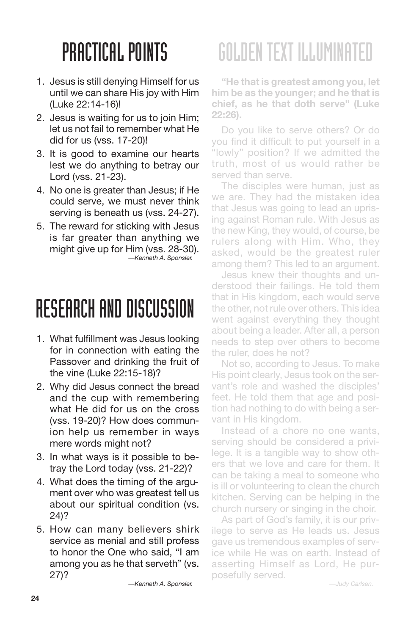- 1. Jesus is still denying Himself for us until we can share His joy with Him (Luke 22:14-16)!
- 2. Jesus is waiting for us to join Him; let us not fail to remember what He did for us (vss. 17-20)!
- 3. It is good to examine our hearts lest we do anything to betray our Lord (vss. 21-23).
- 4. No one is greater than Jesus; if He could serve, we must never think serving is beneath us (vss. 24-27).
- 5. The reward for sticking with Jesus is far greater than anything we might give up for Him (vss. 28-30). *—Kenneth A. Sponsler.*

#### RESEARCH AND DISCUSSION

- 1. What fulfillment was Jesus looking for in connection with eating the Passover and drinking the fruit of the vine (Luke 22:15-18)?
- 2. Why did Jesus connect the bread and the cup with remembering what He did for us on the cross (vss. 19-20)? How does communion help us remember in ways mere words might not?
- 3. In what ways is it possible to betray the Lord today (vss. 21-22)?
- 4. What does the timing of the argument over who was greatest tell us about our spiritual condition (vs. 24)?
- 5. How can many believers shirk service as menial and still profess to honor the One who said, "I am among you as he that serveth" (vs. 27)?

*—Kenneth A. Sponsler.*

### GOLDENTEXT ILLUMINATED

**"He that is greatest among you, let him be as the younger; and he that is chief, as he that doth serve" (Luke 22:26).**

Do you like to serve others? Or do you find it difficult to put yourself in a "lowly" position? If we admitted the truth, most of us would rather be served than serve.

The disciples were human, just as we are. They had the mistaken idea that Jesus was going to lead an uprising against Roman rule. With Jesus as the new King, they would, of course, be rulers along with Him. Who, they asked, would be the greatest ruler among them? This led to an argument.

Jesus knew their thoughts and understood their failings. He told them that in His kingdom, each would serve the other, not rule over others. This idea went against everything they thought about being a leader. After all, a person needs to step over others to become the ruler, does he not?

Not so, according to Jesus. To make His point clearly, Jesus took on the servant's role and washed the disciples' feet. He told them that age and position had nothing to do with being a servant in His kingdom.

Instead of a chore no one wants, serving should be considered a privilege. It is a tangible way to show others that we love and care for them. It can be taking a meal to someone who is ill or volunteering to clean the church kitchen. Serving can be helping in the church nursery or singing in the choir.

As part of God's family, it is our privilege to serve as He leads us. Jesus gave us tremendous examples of service while He was on earth. Instead of asserting Himself as Lord, He purposefully served.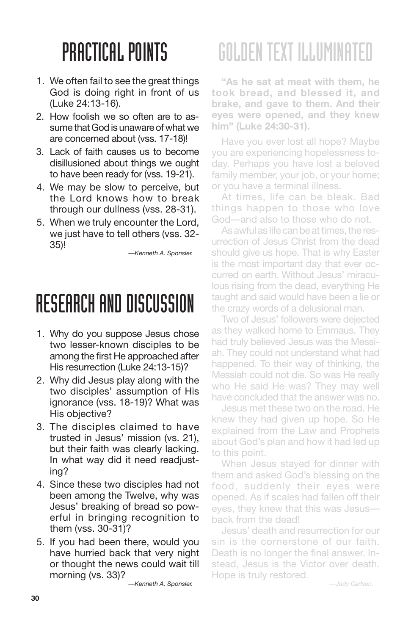- 1. We often fail to see the great things God is doing right in front of us (Luke 24:13-16).
- 2. How foolish we so often are to assume that God is unaware of what we are concerned about (vss. 17-18)!
- 3. Lack of faith causes us to become disillusioned about things we ought to have been ready for (vss. 19-21).
- 4. We may be slow to perceive, but the Lord knows how to break through our dullness (vss. 28-31).
- 5. When we truly encounter the Lord, we just have to tell others (vss. 32- 35)!

*—Kenneth A. Sponsler.*

#### RESEARCH AND DISCUSSION

- 1. Why do you suppose Jesus chose two lesser-known disciples to be among the first He approached after His resurrection (Luke 24:13-15)?
- 2. Why did Jesus play along with the two disciples' assumption of His ignorance (vss. 18-19)? What was His objective?
- 3. The disciples claimed to have trusted in Jesus' mission (vs. 21), but their faith was clearly lacking. In what way did it need readjusting?
- 4. Since these two disciples had not been among the Twelve, why was Jesus' breaking of bread so powerful in bringing recognition to them (vss. 30-31)?
- 5. If you had been there, would you have hurried back that very night or thought the news could wait till morning (vs. 33)?

*—Kenneth A. Sponsler.*

### GOLDENTEXT ILLUMINATED

**"As he sat at meat with them, he took bread, and blessed it, and brake, and gave to them. And their eyes were opened, and they knew him" (Luke 24:30-31).**

Have you ever lost all hope? Maybe you are experiencing hopelessness today. Perhaps you have lost a beloved family member, your job, or your home; or you have a terminal illness.

At times, life can be bleak. Bad things happen to those who love God—and also to those who do not.

As awful as life can be at times, the resurrection of Jesus Christ from the dead should give us hope. That is why Easter is the most important day that ever occurred on earth. Without Jesus' miraculous rising from the dead, everything He taught and said would have been a lie or the crazy words of a delusional man.

Two of Jesus' followers were dejected as they walked home to Emmaus. They had truly believed Jesus was the Messiah. They could not understand what had happened. To their way of thinking, the Messiah could not die. So was He really who He said He was? They may well have concluded that the answer was no.

Jesus met these two on the road. He knew they had given up hope. So He explained from the Law and Prophets about God's plan and how it had led up to this point.

When Jesus stayed for dinner with them and asked God's blessing on the food, suddenly their eyes were opened. As if scales had fallen off their eyes, they knew that this was Jesus back from the dead!

Jesus' death and resurrection for our sin is the cornerstone of our faith. Death is no longer the final answer. Instead, Jesus is the Victor over death. Hope is truly restored.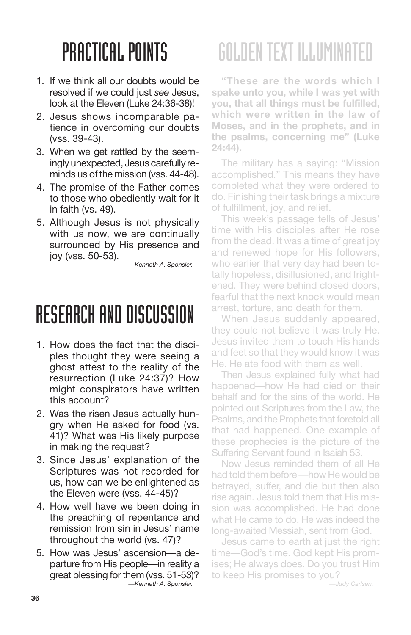- 1. If we think all our doubts would be resolved if we could just *see* Jesus, look at the Eleven (Luke 24:36-38)!
- 2. Jesus shows incomparable patience in overcoming our doubts (vss. 39-43).
- 3. When we get rattled by the seemingly unexpected, Jesus carefully reminds us of the mission (vss. 44-48).
- 4. The promise of the Father comes to those who obediently wait for it in faith (vs. 49).
- 5. Although Jesus is not physically with us now, we are continually surrounded by His presence and joy (vss. 50-53).

*—Kenneth A. Sponsler.*

### RESEARCH AND DISCUSSION

- 1. How does the fact that the disciples thought they were seeing a ghost attest to the reality of the resurrection (Luke 24:37)? How might conspirators have written this account?
- 2. Was the risen Jesus actually hungry when He asked for food (vs. 41)? What was His likely purpose in making the request?
- 3. Since Jesus' explanation of the Scriptures was not recorded for us, how can we be enlightened as the Eleven were (vss. 44-45)?
- 4. How well have we been doing in the preaching of repentance and remission from sin in Jesus' name throughout the world (vs. 47)?
- 5. How was Jesus' ascension—a departure from His people—in reality a great blessing for them (vss. 51-53)? *—Kenneth A. Sponsler.*

# GOLDENTEXT ILLUMINATED

**"These are the words which I spake unto you, while I was yet with you, that all things must be fulfilled, which were written in the law of Moses, and in the prophets, and in the psalms, concerning me" (Luke 24:44).**

The military has a saying: "Mission accomplished." This means they have completed what they were ordered to do. Finishing their task brings a mixture of fulfillment, joy, and relief.

This week's passage tells of Jesus' time with His disciples after He rose from the dead. It was a time of great joy and renewed hope for His followers, who earlier that very day had been totally hopeless, disillusioned, and frightened. They were behind closed doors, fearful that the next knock would mean arrest, torture, and death for them.

When Jesus suddenly appeared, they could not believe it was truly He. Jesus invited them to touch His hands and feet so that they would know it was He. He ate food with them as well.

Then Jesus explained fully what had happened—how He had died on their behalf and for the sins of the world. He pointed out Scriptures from the Law, the Psalms, and the Prophets that foretold all that had happened. One example of these prophecies is the picture of the Suffering Servant found in Isaiah 53.

Now Jesus reminded them of all He had told them before —how He would be betrayed, suffer, and die but then also rise again. Jesus told them that His mission was accomplished. He had done what He came to do. He was indeed the long-awaited Messiah, sent from God.

Jesus came to earth at just the right time—God's time. God kept His promises; He always does. Do you trust Him to keep His promises to you?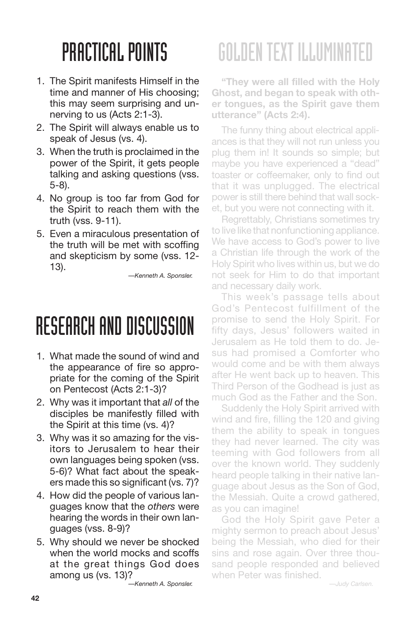- 1. The Spirit manifests Himself in the time and manner of His choosing; this may seem surprising and unnerving to us (Acts 2:1-3).
- 2. The Spirit will always enable us to speak of Jesus (vs. 4).
- 3. When the truth is proclaimed in the power of the Spirit, it gets people talking and asking questions (vss. 5-8).
- 4. No group is too far from God for the Spirit to reach them with the truth (vss. 9-11).
- 5. Even a miraculous presentation of the truth will be met with scoffing and skepticism by some (vss. 12- 13).

*—Kenneth A. Sponsler.*

#### RESEARCH AND DISCUSSION

- 1. What made the sound of wind and the appearance of fire so appropriate for the coming of the Spirit on Pentecost (Acts 2:1-3)?
- 2. Why was it important that *all* of the disciples be manifestly filled with the Spirit at this time (vs. 4)?
- 3. Why was it so amazing for the visitors to Jerusalem to hear their own languages being spoken (vss. 5-6)? What fact about the speakers made this so significant (vs. 7)?
- 4. How did the people of various languages know that the *others* were hearing the words in their own languages (vss. 8-9)?
- 5. Why should we never be shocked when the world mocks and scoffs at the great things God does among us (vs. 13)?

*—Kenneth A. Sponsler.*

# GOLDENTEXT ILLUMINATED

**"They were all filled with the Holy Ghost, and began to speak with other tongues, as the Spirit gave them utterance" (Acts 2:4).**

The funny thing about electrical appliances is that they will not run unless you plug them in! It sounds so simple; but maybe you have experienced a "dead" toaster or coffeemaker, only to find out that it was unplugged. The electrical power is still there behind that wall socket, but you were not connecting with it.

Regrettably, Christians sometimes try to live like that nonfunctioning appliance. We have access to God's power to live a Christian life through the work of the Holy Spirit who lives within us, but we do not seek for Him to do that important and necessary daily work.

This week's passage tells about God's Pentecost fulfillment of the promise to send the Holy Spirit. For fifty days, Jesus' followers waited in Jerusalem as He told them to do. Jesus had promised a Comforter who would come and be with them always after He went back up to heaven. This Third Person of the Godhead is just as much God as the Father and the Son.

Suddenly the Holy Spirit arrived with wind and fire, filling the 120 and giving them the ability to speak in tongues they had never learned. The city was teeming with God followers from all over the known world. They suddenly heard people talking in their native language about Jesus as the Son of God, the Messiah. Quite a crowd gathered, as you can imagine!

God the Holy Spirit gave Peter a mighty sermon to preach about Jesus' being the Messiah, who died for their sins and rose again. Over three thousand people responded and believed when Peter was finished.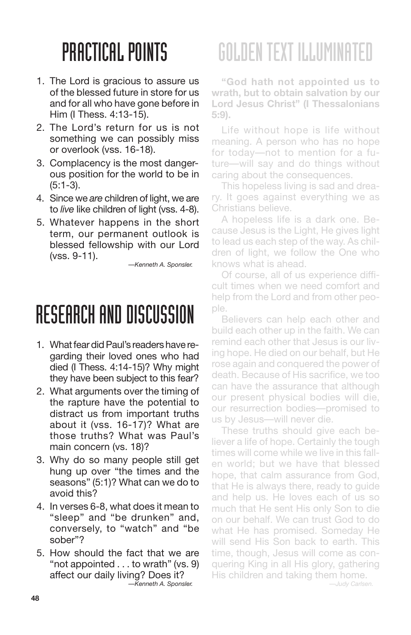- 1. The Lord is gracious to assure us of the blessed future in store for us and for all who have gone before in Him (I Thess. 4:13-15).
- 2. The Lord's return for us is not something we can possibly miss or overlook (vss. 16-18).
- 3. Complacency is the most dangerous position for the world to be in (5:1-3).
- 4. Since we *are* children of light, we are to *live* like children of light (vss. 4-8).
- 5. Whatever happens in the short term, our permanent outlook is blessed fellowship with our Lord (vss. 9-11).

*—Kenneth A. Sponsler.*

#### RESEARCH AND DISCUSSION

- 1. What fear did Paul's readers have regarding their loved ones who had died (I Thess. 4:14-15)? Why might they have been subject to this fear?
- 2. What arguments over the timing of the rapture have the potential to distract us from important truths about it (vss. 16-17)? What are those truths? What was Paul's main concern (vs. 18)?
- 3. Why do so many people still get hung up over "the times and the seasons" (5:1)? What can we do to avoid this?
- 4. In verses 6-8, what does it mean to "sleep" and "be drunken" and, conversely, to "watch" and "be sober"?
- 5. How should the fact that we are "not appointed . . . to wrath" (vs. 9) affect our daily living? Does it? *—Kenneth A. Sponsler.*

### GOLDENTEXT ILLUMINATED

**"God hath not appointed us to wrath, but to obtain salvation by our Lord Jesus Christ" (I Thessalonians 5:9).**

Life without hope is life without meaning. A person who has no hope for today—not to mention for a future—will say and do things without caring about the consequences.

This hopeless living is sad and dreary. It goes against everything we as Christians believe.

A hopeless life is a dark one. Because Jesus is the Light, He gives light to lead us each step of the way. As children of light, we follow the One who knows what is ahead.

Of course, all of us experience difficult times when we need comfort and help from the Lord and from other people.

Believers can help each other and build each other up in the faith. We can remind each other that Jesus is our living hope. He died on our behalf, but He rose again and conquered the power of death. Because of His sacrifice, we too can have the assurance that although our present physical bodies will die, our resurrection bodies—promised to us by Jesus—will never die.

These truths should give each believer a life of hope. Certainly the tough times will come while we live in this fallen world; but we have that blessed hope, that calm assurance from God, that He is always there, ready to guide and help us. He loves each of us so much that He sent His only Son to die on our behalf. We can trust God to do what He has promised. Someday He will send His Son back to earth. This time, though, Jesus will come as conquering King in all His glory, gathering His children and taking them home.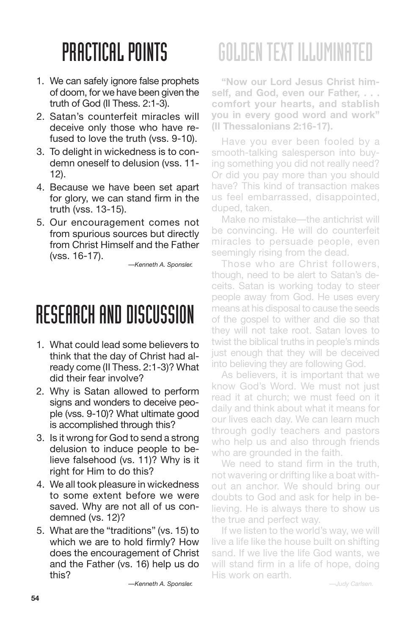- 1. We can safely ignore false prophets of doom, for we have been given the truth of God (II Thess. 2:1-3).
- 2. Satan's counterfeit miracles will deceive only those who have refused to love the truth (vss. 9-10).
- 3. To delight in wickedness is to condemn oneself to delusion (vss. 11- 12).
- 4. Because we have been set apart for glory, we can stand firm in the truth (vss. 13-15).
- 5. Our encouragement comes not from spurious sources but directly from Christ Himself and the Father (vss. 16-17).

*—Kenneth A. Sponsler.*

#### RESEARCH AND DISCUSSION

- 1. What could lead some believers to think that the day of Christ had already come (II Thess. 2:1-3)? What did their fear involve?
- 2. Why is Satan allowed to perform signs and wonders to deceive people (vss. 9-10)? What ultimate good is accomplished through this?
- 3. Is it wrong for God to send a strong delusion to induce people to believe falsehood (vs. 11)? Why is it right for Him to do this?
- 4. We all took pleasure in wickedness to some extent before we were saved. Why are not all of us condemned (vs. 12)?
- 5. What are the "traditions" (vs. 15) to which we are to hold firmly? How does the encouragement of Christ and the Father (vs. 16) help us do this?

*—Kenneth A. Sponsler.*

# GOLDENTEXT ILLUMINATED

**"Now our Lord Jesus Christ himself, and God, even our Father, . . . comfort your hearts, and stablish you in every good word and work" (II Thessalonians 2:16-17).**

Have you ever been fooled by a smooth-talking salesperson into buying something you did not really need? Or did you pay more than you should have? This kind of transaction makes us feel embarrassed, disappointed, duped, taken.

Make no mistake—the antichrist will be convincing. He will do counterfeit miracles to persuade people, even seemingly rising from the dead.

Those who are Christ followers, though, need to be alert to Satan's deceits. Satan is working today to steer people away from God. He uses every means at his disposal to cause the seeds of the gospel to wither and die so that they will not take root. Satan loves to twist the biblical truths in people's minds just enough that they will be deceived into believing they are following God.

As believers, it is important that we know God's Word. We must not just read it at church; we must feed on it daily and think about what it means for our lives each day. We can learn much through godly teachers and pastors who help us and also through friends who are grounded in the faith.

We need to stand firm in the truth, not wavering or drifting like a boat without an anchor. We should bring our doubts to God and ask for help in believing. He is always there to show us the true and perfect way.

If we listen to the world's way, we will live a life like the house built on shifting sand. If we live the life God wants, we will stand firm in a life of hope, doing His work on earth.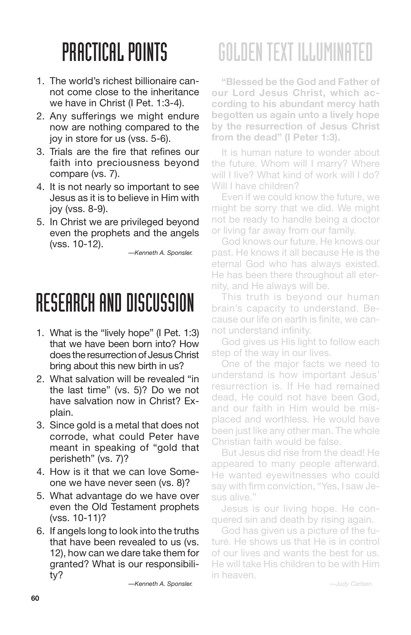- 1. The world's richest billionaire cannot come close to the inheritance we have in Christ (I Pet. 1:3-4).
- 2. Any sufferings we might endure now are nothing compared to the joy in store for us (vss. 5-6).
- 3. Trials are the fire that refines our faith into preciousness beyond compare (vs. 7).
- 4. It is not nearly so important to see Jesus as it is to believe in Him with joy (vss. 8-9).
- 5. In Christ we are privileged beyond even the prophets and the angels (vss. 10-12).

*—Kenneth A. Sponsler.*

#### RESEARCH AND DISCUSSION

- 1. What is the "lively hope" (I Pet. 1:3) that we have been born into? How does the resurrection of Jesus Christ bring about this new birth in us?
- 2. What salvation will be revealed "in the last time" (vs. 5)? Do we not have salvation now in Christ? Explain.
- 3. Since gold is a metal that does not corrode, what could Peter have meant in speaking of "gold that perisheth" (vs. 7)?
- 4. How is it that we can love Someone we have never seen (vs. 8)?
- 5. What advantage do we have over even the Old Testament prophets (vss. 10-11)?
- 6. If angels long to look into the truths that have been revealed to us (vs. 12), how can we dare take them for granted? What is our responsibility?

*—Kenneth A. Sponsler.*

# GOLDENTEXT ILLUMINATED

**"Blessed be the God and Father of our Lord Jesus Christ, which according to his abundant mercy hath begotten us again unto a lively hope by the resurrection of Jesus Christ from the dead" (I Peter 1:3).**

It is human nature to wonder about the future. Whom will I marry? Where will I live? What kind of work will I do? Will I have children?

Even if we could know the future, we might be sorry that we did. We might not be ready to handle being a doctor or living far away from our family.

God knows our future. He knows our past. He knows it all because He is the eternal God who has always existed. He has been there throughout all eternity, and He always will be.

This truth is beyond our human brain's capacity to understand. Because our life on earth is finite, we cannot understand infinity.

God gives us His light to follow each step of the way in our lives.

One of the major facts we need to understand is how important Jesus' resurrection is. If He had remained dead, He could not have been God, and our faith in Him would be misplaced and worthless. He would have been just like any other man. The whole Christian faith would be false.

But Jesus did rise from the dead! He appeared to many people afterward. He wanted eyewitnesses who could say with firm conviction, "Yes, I saw Jesus alive."

Jesus is our living hope. He conquered sin and death by rising again.

God has given us a picture of the future. He shows us that He is in control of our lives and wants the best for us. He will take His children to be with Him in heaven.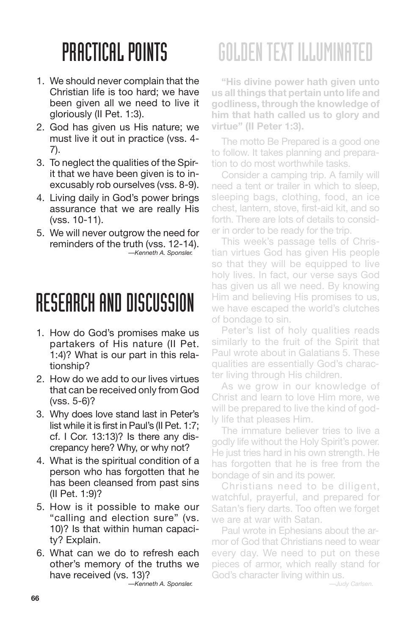- 1. We should never complain that the Christian life is too hard; we have been given all we need to live it gloriously (II Pet. 1:3).
- 2. God has given us His nature; we must live it out in practice (vss. 4- 7).
- 3. To neglect the qualities of the Spirit that we have been given is to inexcusably rob ourselves (vss. 8-9).
- 4. Living daily in God's power brings assurance that we are really His (vss. 10-11).
- 5. We will never outgrow the need for reminders of the truth (vss. 12-14). *—Kenneth A. Sponsler.*

#### RESEARCH AND DISCUSSION

- 1. How do God's promises make us partakers of His nature (II Pet. 1:4)? What is our part in this relationship?
- 2. How do we add to our lives virtues that can be received only from God (vss. 5-6)?
- 3. Why does love stand last in Peter's list while it is first in Paul's (II Pet. 1:7; cf. I Cor. 13:13)? Is there any discrepancy here? Why, or why not?
- 4. What is the spiritual condition of a person who has forgotten that he has been cleansed from past sins (II Pet. 1:9)?
- 5. How is it possible to make our "calling and election sure" (vs. 10)? Is that within human capacity? Explain.
- 6. What can we do to refresh each other's memory of the truths we have received (vs. 13)?

*—Kenneth A. Sponsler.*

# GOLDENTEXT ILLUMINATED

**"His divine power hath given unto us all things that pertain unto life and godliness, through the knowledge of him that hath called us to glory and virtue" (II Peter 1:3).**

The motto Be Prepared is a good one to follow. It takes planning and preparation to do most worthwhile tasks.

Consider a camping trip. A family will need a tent or trailer in which to sleep, sleeping bags, clothing, food, an ice chest, lantern, stove, first-aid kit, and so forth. There are lots of details to consider in order to be ready for the trip.

This week's passage tells of Christian virtues God has given His people so that they will be equipped to live holy lives. In fact, our verse says God has given us all we need. By knowing Him and believing His promises to us, we have escaped the world's clutches of bondage to sin.

Peter's list of holy qualities reads similarly to the fruit of the Spirit that Paul wrote about in Galatians 5. These qualities are essentially God's character living through His children.

As we grow in our knowledge of Christ and learn to love Him more, we will be prepared to live the kind of godly life that pleases Him.

The immature believer tries to live a godly life without the Holy Spirit's power. He just tries hard in his own strength. He has forgotten that he is free from the bondage of sin and its power.

Christians need to be diligent, watchful, prayerful, and prepared for Satan's fiery darts. Too often we forget we are at war with Satan.

Paul wrote in Ephesians about the armor of God that Christians need to wear every day. We need to put on these pieces of armor, which really stand for God's character living within us.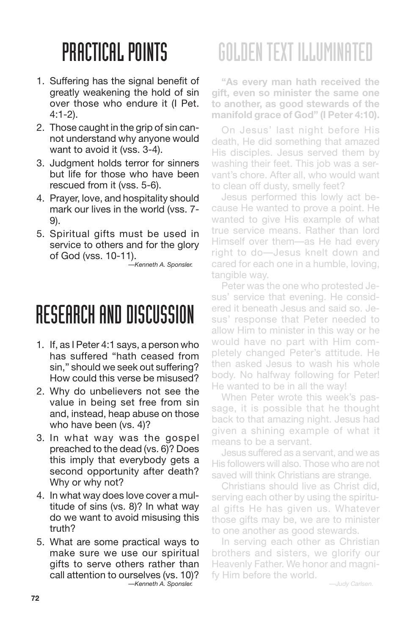- 1. Suffering has the signal benefit of greatly weakening the hold of sin over those who endure it (I Pet.  $4.1 - 2)$
- 2. Those caught in the grip of sin cannot understand why anyone would want to avoid it (vss. 3-4).
- 3. Judgment holds terror for sinners but life for those who have been rescued from it (vss. 5-6).
- 4. Prayer, love, and hospitality should mark our lives in the world (vss. 7- 9).
- 5. Spiritual gifts must be used in service to others and for the glory of God (vss. 10-11).

*—Kenneth A. Sponsler.*

### RESEARCH AND DISCUSSION

- 1. If, as I Peter 4:1 says, a person who has suffered "hath ceased from sin," should we seek out suffering? How could this verse be misused?
- 2. Why do unbelievers not see the value in being set free from sin and, instead, heap abuse on those who have been (vs. 4)?
- 3. In what way was the gospel preached to the dead (vs. 6)? Does this imply that everybody gets a second opportunity after death? Why or why not?
- 4. In what way does love cover a multitude of sins (vs. 8)? In what way do we want to avoid misusing this truth?
- 5. What are some practical ways to make sure we use our spiritual gifts to serve others rather than call attention to ourselves (vs. 10)? *—Kenneth A. Sponsler.*

# GOLDENTEXT ILLUMINATED

**"As every man hath received the gift, even so minister the same one to another, as good stewards of the manifold grace of God" (I Peter 4:10).**

On Jesus' last night before His death, He did something that amazed His disciples. Jesus served them by washing their feet. This job was a servant's chore. After all, who would want to clean off dusty, smelly feet?

Jesus performed this lowly act because He wanted to prove a point. He wanted to give His example of what true service means. Rather than lord Himself over them—as He had every right to do—Jesus knelt down and cared for each one in a humble, loving, tangible way.

Peter was the one who protested Jesus' service that evening. He considered it beneath Jesus and said so. Jesus' response that Peter needed to allow Him to minister in this way or he would have no part with Him completely changed Peter's attitude. He then asked Jesus to wash his whole body. No halfway following for Peter! He wanted to be in all the way!

When Peter wrote this week's passage, it is possible that he thought back to that amazing night. Jesus had given a shining example of what it means to be a servant.

Jesus suffered as a servant, and we as His followers will also. Those who are not saved will think Christians are strange.

Christians should live as Christ did, serving each other by using the spiritual gifts He has given us. Whatever those gifts may be, we are to minister to one another as good stewards.

In serving each other as Christian brothers and sisters, we glorify our Heavenly Father. We honor and magnify Him before the world.